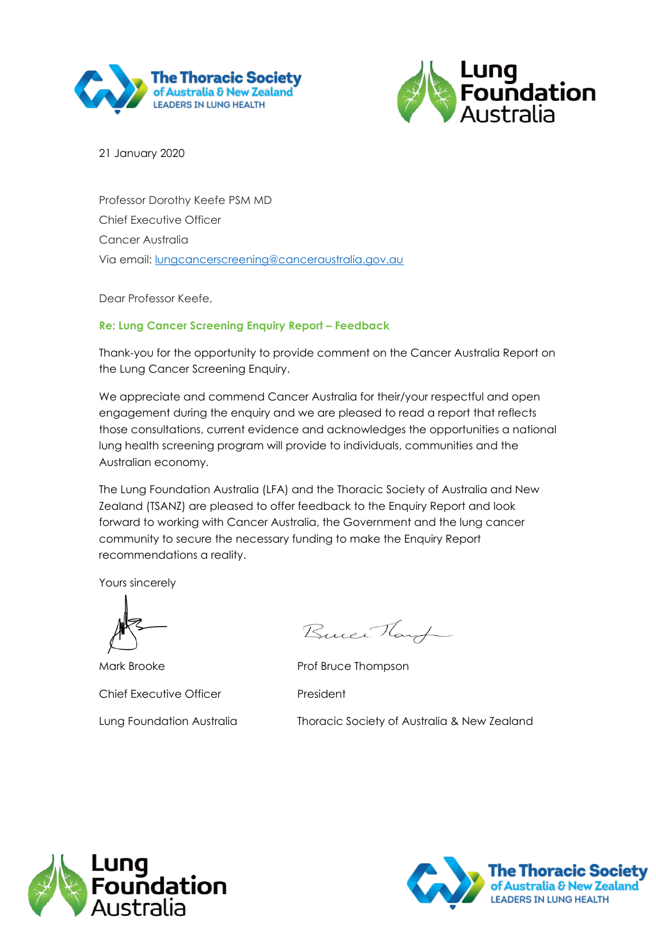



21 January 2020

Professor Dorothy Keefe PSM MD Chief Executive Officer Cancer Australia Via email: [lungcancerscreening@canceraustralia.gov.au](mailto:lungcancerscreening@canceraustralia.gov.au)

Dear Professor Keefe,

#### **Re: Lung Cancer Screening Enquiry Report – Feedback**

Thank-you for the opportunity to provide comment on the Cancer Australia Report on the Lung Cancer Screening Enquiry.

We appreciate and commend Cancer Australia for their/your respectful and open engagement during the enquiry and we are pleased to read a report that reflects those consultations, current evidence and acknowledges the opportunities a national lung health screening program will provide to individuals, communities and the Australian economy.

The Lung Foundation Australia (LFA) and the Thoracic Society of Australia and New Zealand (TSANZ) are pleased to offer feedback to the Enquiry Report and look forward to working with Cancer Australia, the Government and the lung cancer community to secure the necessary funding to make the Enquiry Report recommendations a reality.

Yours sincerely

Mark Brooke **Prof Bruce Thompson** Chief Executive Officer **President** 

Buice Hard

Lung Foundation Australia Thoracic Society of Australia & New Zealand



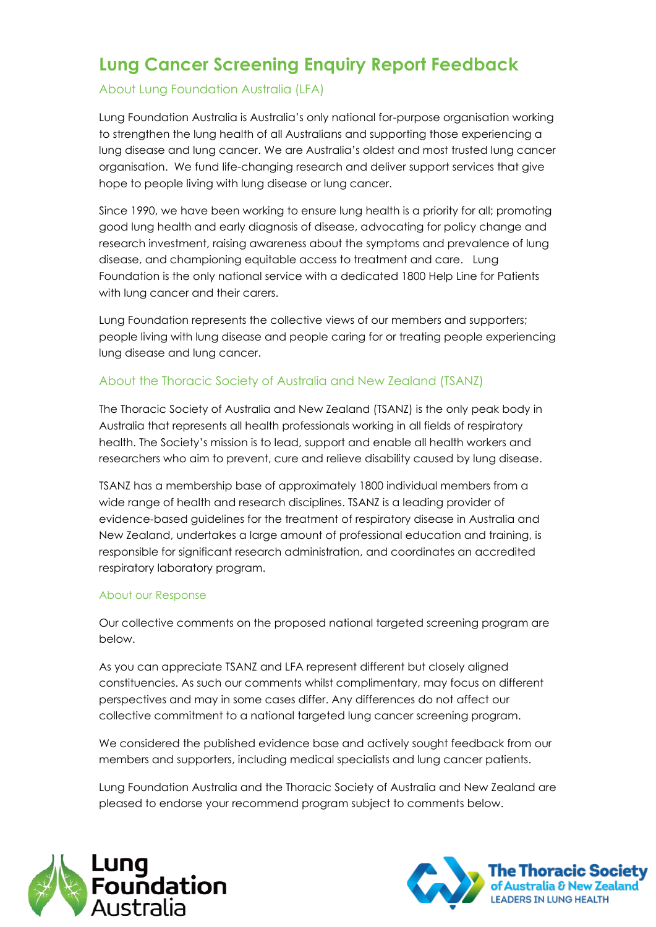# **Lung Cancer Screening Enquiry Report Feedback**

### About Lung Foundation Australia (LFA)

Lung Foundation Australia is Australia's only national for-purpose organisation working to strengthen the lung health of all Australians and supporting those experiencing a lung disease and lung cancer. We are Australia's oldest and most trusted lung cancer organisation. We fund life-changing research and deliver support services that give hope to people living with lung disease or lung cancer.

Since 1990, we have been working to ensure lung health is a priority for all; promoting good lung health and early diagnosis of disease, advocating for policy change and research investment, raising awareness about the symptoms and prevalence of lung disease, and championing equitable access to treatment and care. Lung Foundation is the only national service with a dedicated 1800 Help Line for Patients with lung cancer and their carers.

Lung Foundation represents the collective views of our members and supporters; people living with lung disease and people caring for or treating people experiencing lung disease and lung cancer.

#### About the Thoracic Society of Australia and New Zealand (TSANZ)

The Thoracic Society of Australia and New Zealand (TSANZ) is the only peak body in Australia that represents all health professionals working in all fields of respiratory health. The Society's mission is to lead, support and enable all health workers and researchers who aim to prevent, cure and relieve disability caused by lung disease.

TSANZ has a membership base of approximately 1800 individual members from a wide range of health and research disciplines. TSANZ is a leading provider of evidence-based guidelines for the treatment of respiratory disease in Australia and New Zealand, undertakes a large amount of professional education and training, is responsible for significant research administration, and coordinates an accredited respiratory laboratory program.

#### About our Response

Our collective comments on the proposed national targeted screening program are below.

As you can appreciate TSANZ and LFA represent different but closely aligned constituencies. As such our comments whilst complimentary, may focus on different perspectives and may in some cases differ. Any differences do not affect our collective commitment to a national targeted lung cancer screening program.

We considered the published evidence base and actively sought feedback from our members and supporters, including medical specialists and lung cancer patients.

Lung Foundation Australia and the Thoracic Society of Australia and New Zealand are pleased to endorse your recommend program subject to comments below.



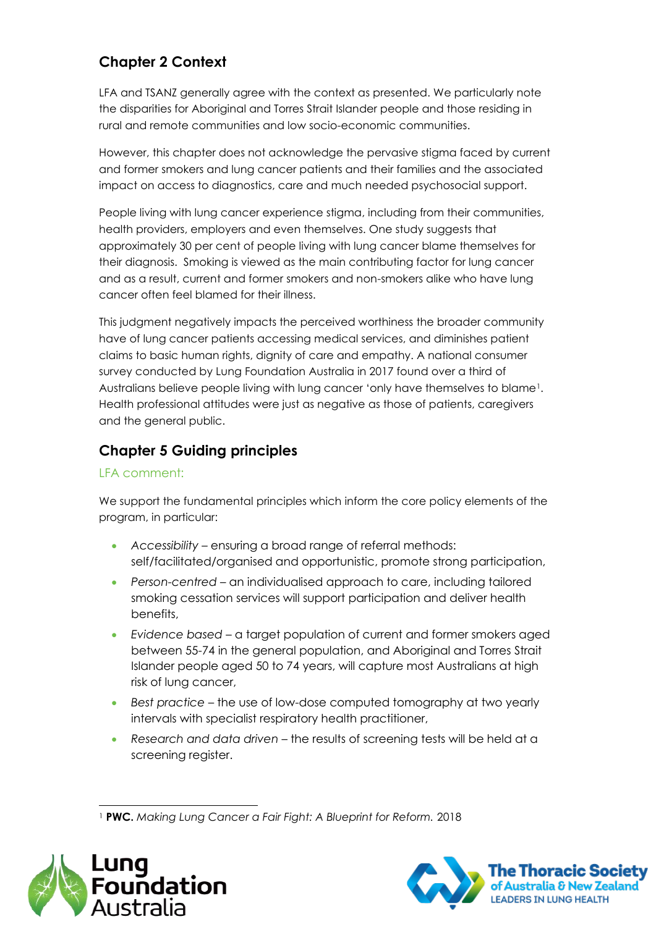# **Chapter 2 Context**

LFA and TSANZ generally agree with the context as presented. We particularly note the disparities for Aboriginal and Torres Strait Islander people and those residing in rural and remote communities and low socio-economic communities.

However, this chapter does not acknowledge the pervasive stigma faced by current and former smokers and lung cancer patients and their families and the associated impact on access to diagnostics, care and much needed psychosocial support.

People living with lung cancer experience stigma, including from their communities, health providers, employers and even themselves. One study suggests that approximately 30 per cent of people living with lung cancer blame themselves for their diagnosis. Smoking is viewed as the main contributing factor for lung cancer and as a result, current and former smokers and non-smokers alike who have lung cancer often feel blamed for their illness.

This judgment negatively impacts the perceived worthiness the broader community have of lung cancer patients accessing medical services, and diminishes patient claims to basic human rights, dignity of care and empathy. A national consumer survey conducted by Lung Foundation Australia in 2017 found over a third of Australians believe people living with lung cancer 'only have themselves to blame1. Health professional attitudes were just as negative as those of patients, caregivers and the general public.

# **Chapter 5 Guiding principles**

#### LFA comment:

We support the fundamental principles which inform the core policy elements of the program, in particular:

- *Accessibility* ensuring a broad range of referral methods: self/facilitated/organised and opportunistic, promote strong participation,
- *Person-centred* an individualised approach to care, including tailored smoking cessation services will support participation and deliver health benefits,
- *Evidence based* a target population of current and former smokers aged between 55-74 in the general population, and Aboriginal and Torres Strait Islander people aged 50 to 74 years, will capture most Australians at high risk of lung cancer,
- *Best practice* the use of low-dose computed tomography at two yearly intervals with specialist respiratory health practitioner,
- *Research and data driven* the results of screening tests will be held at a screening register.

<sup>1</sup> **PWC.** *Making Lung Cancer a Fair Fight: A Blueprint for Reform.* 2018



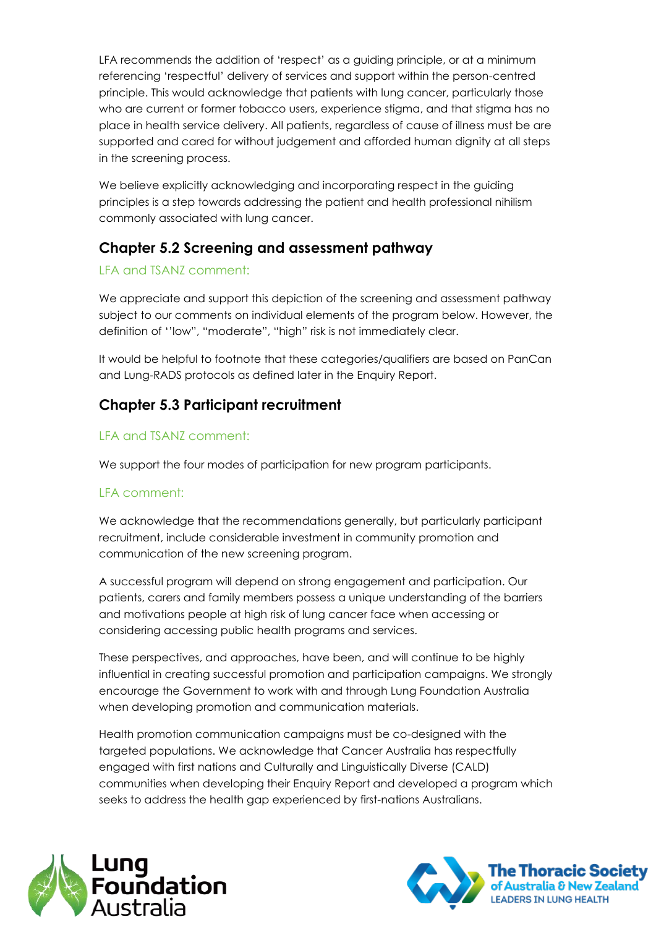LFA recommends the addition of 'respect' as a guiding principle, or at a minimum referencing 'respectful' delivery of services and support within the person-centred principle. This would acknowledge that patients with lung cancer, particularly those who are current or former tobacco users, experience stigma, and that stigma has no place in health service delivery. All patients, regardless of cause of illness must be are supported and cared for without judgement and afforded human dignity at all steps in the screening process.

We believe explicitly acknowledging and incorporating respect in the guiding principles is a step towards addressing the patient and health professional nihilism commonly associated with lung cancer.

# **Chapter 5.2 Screening and assessment pathway**

### LFA and TSANZ comment:

We appreciate and support this depiction of the screening and assessment pathway subject to our comments on individual elements of the program below. However, the definition of ''low", "moderate", "high" risk is not immediately clear.

It would be helpful to footnote that these categories/qualifiers are based on PanCan and Lung-RADS protocols as defined later in the Enquiry Report.

# **Chapter 5.3 Participant recruitment**

#### LFA and TSANZ comment:

We support the four modes of participation for new program participants.

#### LFA comment:

We acknowledge that the recommendations generally, but particularly participant recruitment, include considerable investment in community promotion and communication of the new screening program.

A successful program will depend on strong engagement and participation. Our patients, carers and family members possess a unique understanding of the barriers and motivations people at high risk of lung cancer face when accessing or considering accessing public health programs and services.

These perspectives, and approaches, have been, and will continue to be highly influential in creating successful promotion and participation campaigns. We strongly encourage the Government to work with and through Lung Foundation Australia when developing promotion and communication materials.

Health promotion communication campaigns must be co-designed with the targeted populations. We acknowledge that Cancer Australia has respectfully engaged with first nations and Culturally and Linguistically Diverse (CALD) communities when developing their Enquiry Report and developed a program which seeks to address the health gap experienced by first-nations Australians.



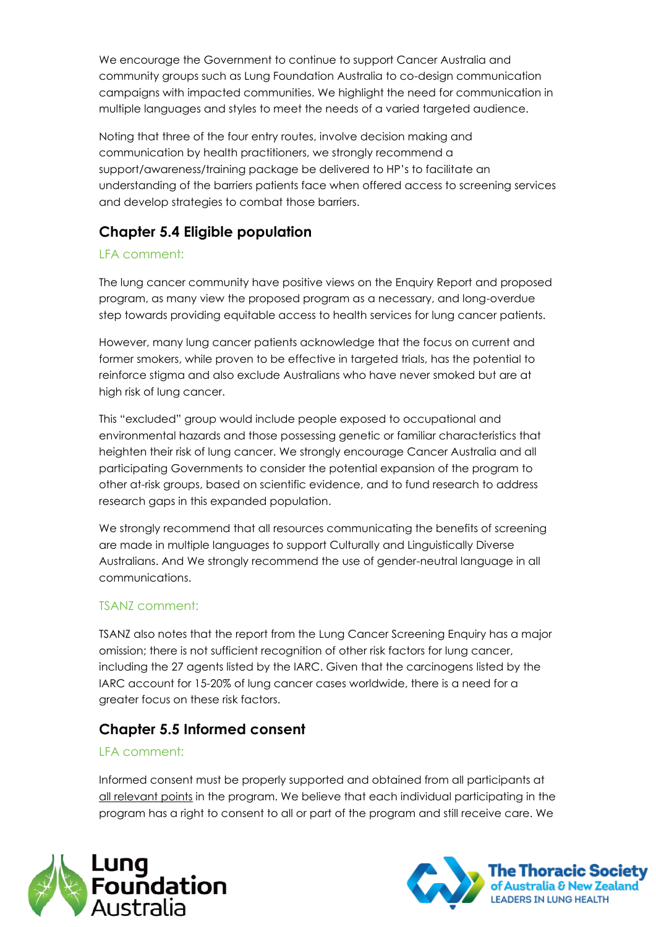We encourage the Government to continue to support Cancer Australia and community groups such as Lung Foundation Australia to co-design communication campaigns with impacted communities. We highlight the need for communication in multiple languages and styles to meet the needs of a varied targeted audience.

Noting that three of the four entry routes, involve decision making and communication by health practitioners, we strongly recommend a support/awareness/training package be delivered to HP's to facilitate an understanding of the barriers patients face when offered access to screening services and develop strategies to combat those barriers.

### **Chapter 5.4 Eligible population**

### LFA comment:

The lung cancer community have positive views on the Enquiry Report and proposed program, as many view the proposed program as a necessary, and long-overdue step towards providing equitable access to health services for lung cancer patients.

However, many lung cancer patients acknowledge that the focus on current and former smokers, while proven to be effective in targeted trials, has the potential to reinforce stigma and also exclude Australians who have never smoked but are at high risk of lung cancer.

This "excluded" group would include people exposed to occupational and environmental hazards and those possessing genetic or familiar characteristics that heighten their risk of lung cancer. We strongly encourage Cancer Australia and all participating Governments to consider the potential expansion of the program to other at-risk groups, based on scientific evidence, and to fund research to address research gaps in this expanded population.

We strongly recommend that all resources communicating the benefits of screening are made in multiple languages to support Culturally and Linguistically Diverse Australians. And We strongly recommend the use of gender-neutral language in all communications.

#### TSANZ comment:

TSANZ also notes that the report from the Lung Cancer Screening Enquiry has a major omission; there is not sufficient recognition of other risk factors for lung cancer, including the 27 agents listed by the IARC. Given that the carcinogens listed by the IARC account for 15-20% of lung cancer cases worldwide, there is a need for a greater focus on these risk factors.

# **Chapter 5.5 Informed consent**

#### LFA comment:

Informed consent must be properly supported and obtained from all participants at all relevant points in the program. We believe that each individual participating in the program has a right to consent to all or part of the program and still receive care. We



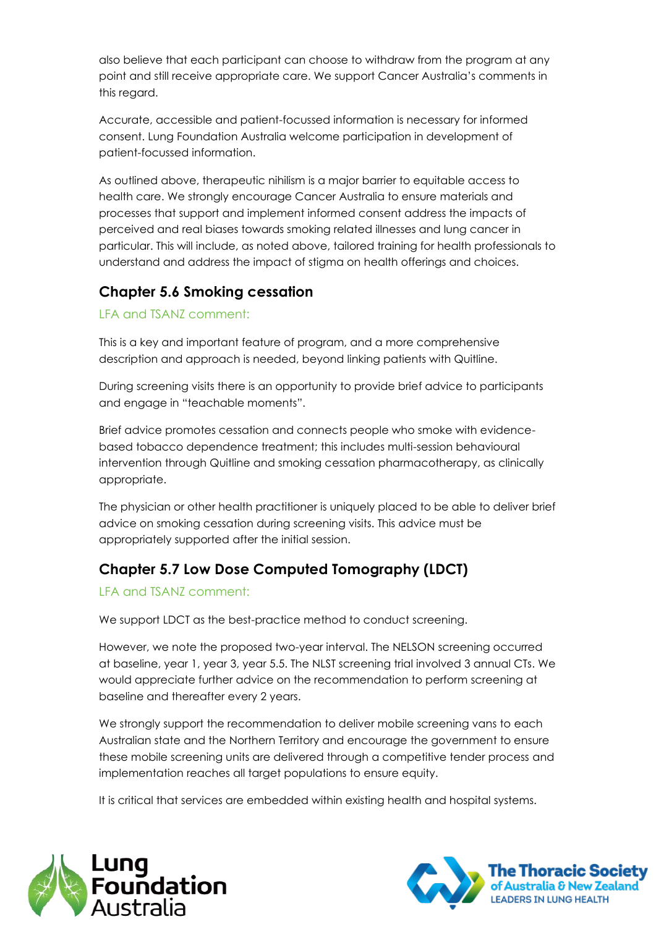also believe that each participant can choose to withdraw from the program at any point and still receive appropriate care. We support Cancer Australia's comments in this regard.

Accurate, accessible and patient-focussed information is necessary for informed consent. Lung Foundation Australia welcome participation in development of patient-focussed information.

As outlined above, therapeutic nihilism is a major barrier to equitable access to health care. We strongly encourage Cancer Australia to ensure materials and processes that support and implement informed consent address the impacts of perceived and real biases towards smoking related illnesses and lung cancer in particular. This will include, as noted above, tailored training for health professionals to understand and address the impact of stigma on health offerings and choices.

# **Chapter 5.6 Smoking cessation**

LFA and TSANZ comment:

This is a key and important feature of program, and a more comprehensive description and approach is needed, beyond linking patients with Quitline.

During screening visits there is an opportunity to provide brief advice to participants and engage in "teachable moments".

Brief advice promotes cessation and connects people who smoke with evidencebased tobacco dependence treatment; this includes multi-session behavioural intervention through Quitline and smoking cessation pharmacotherapy, as clinically appropriate.

The physician or other health practitioner is uniquely placed to be able to deliver brief advice on smoking cessation during screening visits. This advice must be appropriately supported after the initial session.

# **Chapter 5.7 Low Dose Computed Tomography (LDCT)**

#### LFA and TSANZ comment:

We support LDCT as the best-practice method to conduct screening.

However, we note the proposed two-year interval. The NELSON screening occurred at baseline, year 1, year 3, year 5.5. The NLST screening trial involved 3 annual CTs. We would appreciate further advice on the recommendation to perform screening at baseline and thereafter every 2 years.

We strongly support the recommendation to deliver mobile screening vans to each Australian state and the Northern Territory and encourage the government to ensure these mobile screening units are delivered through a competitive tender process and implementation reaches all target populations to ensure equity.

It is critical that services are embedded within existing health and hospital systems.



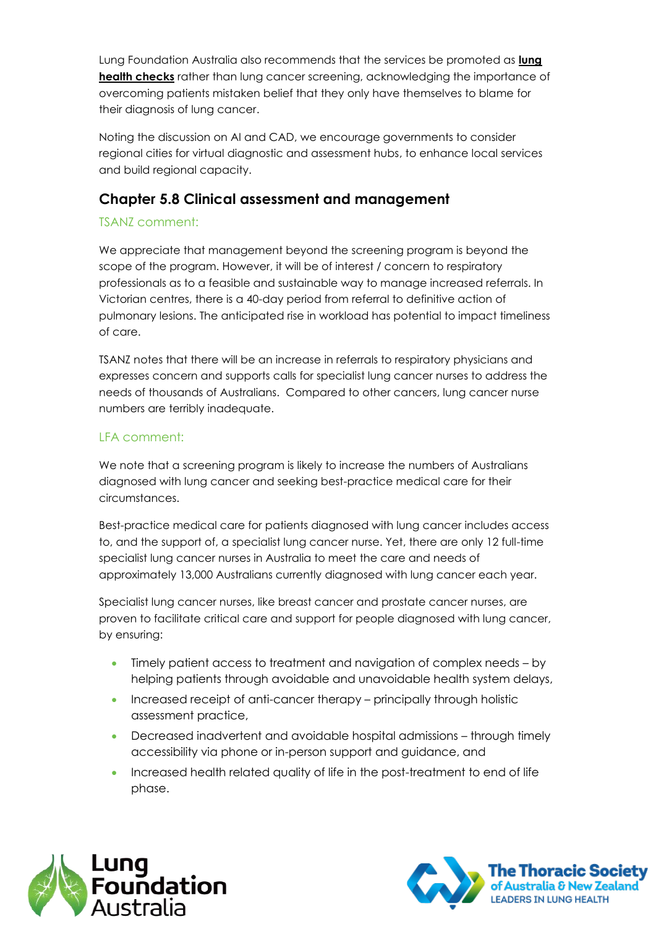Lung Foundation Australia also recommends that the services be promoted as **lung health checks** rather than lung cancer screening, acknowledging the importance of overcoming patients mistaken belief that they only have themselves to blame for their diagnosis of lung cancer.

Noting the discussion on AI and CAD, we encourage governments to consider regional cities for virtual diagnostic and assessment hubs, to enhance local services and build regional capacity.

### **Chapter 5.8 Clinical assessment and management**

#### TSANZ comment:

We appreciate that management beyond the screening program is beyond the scope of the program. However, it will be of interest / concern to respiratory professionals as to a feasible and sustainable way to manage increased referrals. In Victorian centres, there is a 40-day period from referral to definitive action of pulmonary lesions. The anticipated rise in workload has potential to impact timeliness of care.

TSANZ notes that there will be an increase in referrals to respiratory physicians and expresses concern and supports calls for specialist lung cancer nurses to address the needs of thousands of Australians. Compared to other cancers, lung cancer nurse numbers are terribly inadequate.

#### LFA comment:

We note that a screening program is likely to increase the numbers of Australians diagnosed with lung cancer and seeking best-practice medical care for their circumstances.

Best-practice medical care for patients diagnosed with lung cancer includes access to, and the support of, a specialist lung cancer nurse. Yet, there are only 12 full-time specialist lung cancer nurses in Australia to meet the care and needs of approximately 13,000 Australians currently diagnosed with lung cancer each year.

Specialist lung cancer nurses, like breast cancer and prostate cancer nurses, are proven to facilitate critical care and support for people diagnosed with lung cancer, by ensuring:

- Timely patient access to treatment and navigation of complex needs by helping patients through avoidable and unavoidable health system delays,
- Increased receipt of anti-cancer therapy principally through holistic assessment practice,
- Decreased inadvertent and avoidable hospital admissions through timely accessibility via phone or in-person support and guidance, and
- Increased health related quality of life in the post-treatment to end of life phase.



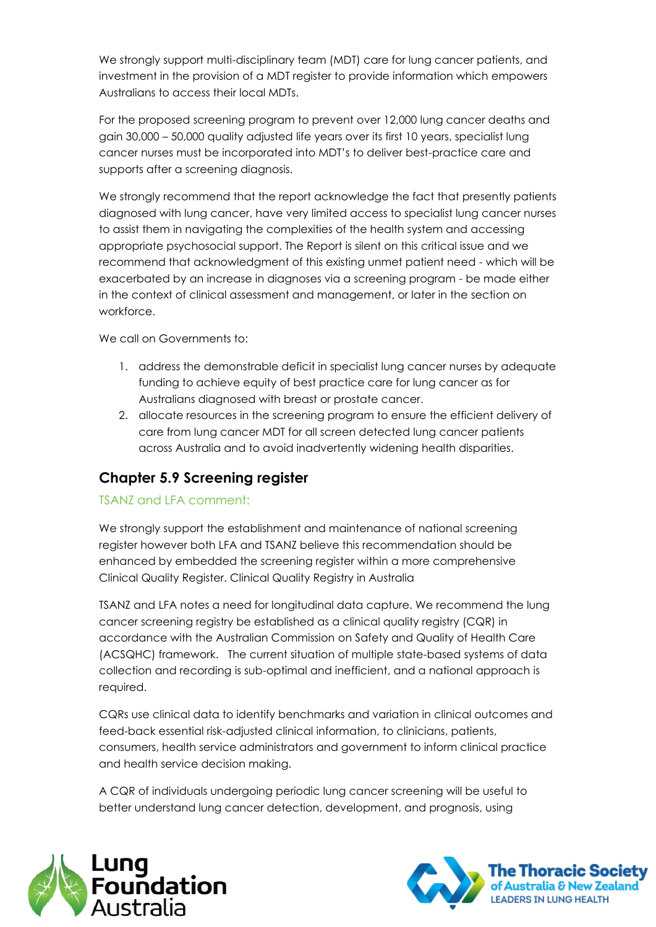We strongly support multi-disciplinary team (MDT) care for lung cancer patients, and investment in the provision of a MDT register to provide information which empowers Australians to access their local MDTs.

For the proposed screening program to prevent over 12,000 lung cancer deaths and gain 30,000 – 50,000 quality adjusted life years over its first 10 years, specialist lung cancer nurses must be incorporated into MDT's to deliver best-practice care and supports after a screening diagnosis.

We strongly recommend that the report acknowledge the fact that presently patients diagnosed with lung cancer, have very limited access to specialist lung cancer nurses to assist them in navigating the complexities of the health system and accessing appropriate psychosocial support. The Report is silent on this critical issue and we recommend that acknowledgment of this existing unmet patient need - which will be exacerbated by an increase in diagnoses via a screening program - be made either in the context of clinical assessment and management, or later in the section on workforce.

We call on Governments to:

- 1. address the demonstrable deficit in specialist lung cancer nurses by adequate funding to achieve equity of best practice care for lung cancer as for Australians diagnosed with breast or prostate cancer.
- 2. allocate resources in the screening program to ensure the efficient delivery of care from lung cancer MDT for all screen detected lung cancer patients across Australia and to avoid inadvertently widening health disparities.

### **Chapter 5.9 Screening register**

#### TSANZ and LFA comment:

We strongly support the establishment and maintenance of national screening register however both LFA and TSANZ believe this recommendation should be enhanced by embedded the screening register within a more comprehensive Clinical Quality Register. Clinical Quality Registry in Australia

TSANZ and LFA notes a need for longitudinal data capture. We recommend the lung cancer screening registry be established as a clinical quality registry (CQR) in accordance with the Australian Commission on Safety and Quality of Health Care (ACSQHC) framework. The current situation of multiple state-based systems of data collection and recording is sub-optimal and inefficient, and a national approach is required.

CQRs use clinical data to identify benchmarks and variation in clinical outcomes and feed-back essential risk-adjusted clinical information, to clinicians, patients, consumers, health service administrators and government to inform clinical practice and health service decision making.

A CQR of individuals undergoing periodic lung cancer screening will be useful to better understand lung cancer detection, development, and prognosis, using



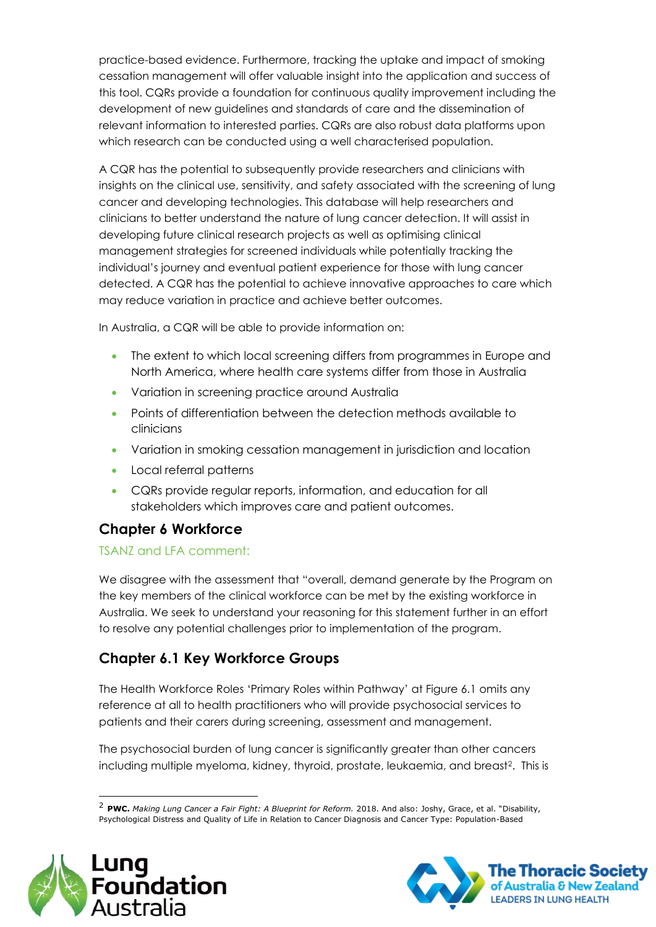practice-based evidence. Furthermore, tracking the uptake and impact of smoking cessation management will offer valuable insight into the application and success of this tool. CQRs provide a foundation for continuous quality improvement including the development of new guidelines and standards of care and the dissemination of relevant information to interested parties. CQRs are also robust data platforms upon which research can be conducted using a well characterised population.

A CQR has the potential to subsequently provide researchers and clinicians with insights on the clinical use, sensitivity, and safety associated with the screening of lung cancer and developing technologies. This database will help researchers and clinicians to better understand the nature of lung cancer detection. It will assist in developing future clinical research projects as well as optimising clinical management strategies for screened individuals while potentially tracking the individual's journey and eventual patient experience for those with lung cancer detected. A CQR has the potential to achieve innovative approaches to care which may reduce variation in practice and achieve better outcomes.

In Australia, a CQR will be able to provide information on:

- The extent to which local screening differs from programmes in Europe and North America, where health care systems differ from those in Australia
- Variation in screening practice around Australia
- Points of differentiation between the detection methods available to clinicians
- Variation in smoking cessation management in jurisdiction and location
- Local referral patterns
- CQRs provide regular reports, information, and education for all stakeholders which improves care and patient outcomes.

# **Chapter 6 Workforce**

#### TSANZ and LFA comment:

We disagree with the assessment that "overall, demand generate by the Program on the key members of the clinical workforce can be met by the existing workforce in Australia. We seek to understand your reasoning for this statement further in an effort to resolve any potential challenges prior to implementation of the program.

# **Chapter 6.1 Key Workforce Groups**

The Health Workforce Roles 'Primary Roles within Pathway' at Figure 6.1 omits any reference at all to health practitioners who will provide psychosocial services to patients and their carers during screening, assessment and management.

The psychosocial burden of lung cancer is significantly greater than other cancers including multiple myeloma, kidney, thyroid, prostate, leukaemia, and breast<sup>2</sup>. This is

<sup>2</sup> **PWC.** *Making Lung Cancer a Fair Fight: A Blueprint for Reform.* 2018. And also: Joshy, Grace, et al. "Disability, Psychological Distress and Quality of Life in Relation to Cancer Diagnosis and Cancer Type: Population-Based



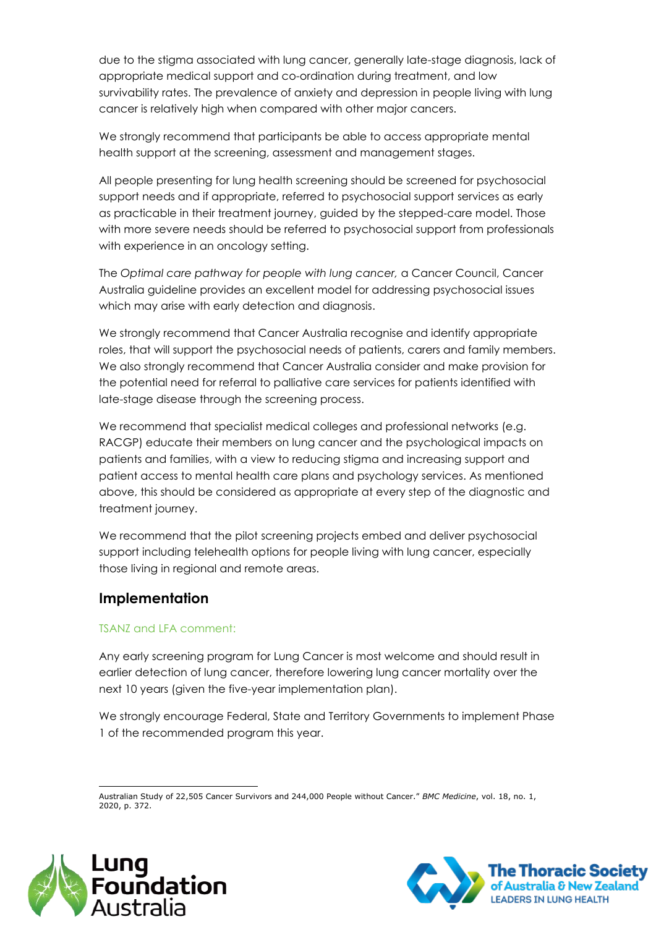due to the stigma associated with lung cancer, generally late-stage diagnosis, lack of appropriate medical support and co-ordination during treatment, and low survivability rates. The prevalence of anxiety and depression in people living with lung cancer is relatively high when compared with other major cancers.

We strongly recommend that participants be able to access appropriate mental health support at the screening, assessment and management stages.

All people presenting for lung health screening should be screened for psychosocial support needs and if appropriate, referred to psychosocial support services as early as practicable in their treatment journey, guided by the stepped-care model. Those with more severe needs should be referred to psychosocial support from professionals with experience in an oncology setting.

The *Optimal care pathway for people with lung cancer,* a Cancer Council, Cancer Australia guideline provides an excellent model for addressing psychosocial issues which may arise with early detection and diagnosis.

We strongly recommend that Cancer Australia recognise and identify appropriate roles, that will support the psychosocial needs of patients, carers and family members. We also strongly recommend that Cancer Australia consider and make provision for the potential need for referral to palliative care services for patients identified with late-stage disease through the screening process.

We recommend that specialist medical colleges and professional networks (e.g. RACGP) educate their members on lung cancer and the psychological impacts on patients and families, with a view to reducing stigma and increasing support and patient access to mental health care plans and psychology services. As mentioned above, this should be considered as appropriate at every step of the diagnostic and treatment journey.

We recommend that the pilot screening projects embed and deliver psychosocial support including telehealth options for people living with lung cancer, especially those living in regional and remote areas.

#### **Implementation**

#### TSANZ and LFA comment:

Any early screening program for Lung Cancer is most welcome and should result in earlier detection of lung cancer, therefore lowering lung cancer mortality over the next 10 years (given the five-year implementation plan).

We strongly encourage Federal, State and Territory Governments to implement Phase 1 of the recommended program this year.

Australian Study of 22,505 Cancer Survivors and 244,000 People without Cancer." *BMC Medicine*, vol. 18, no. 1, 2020, p. 372.